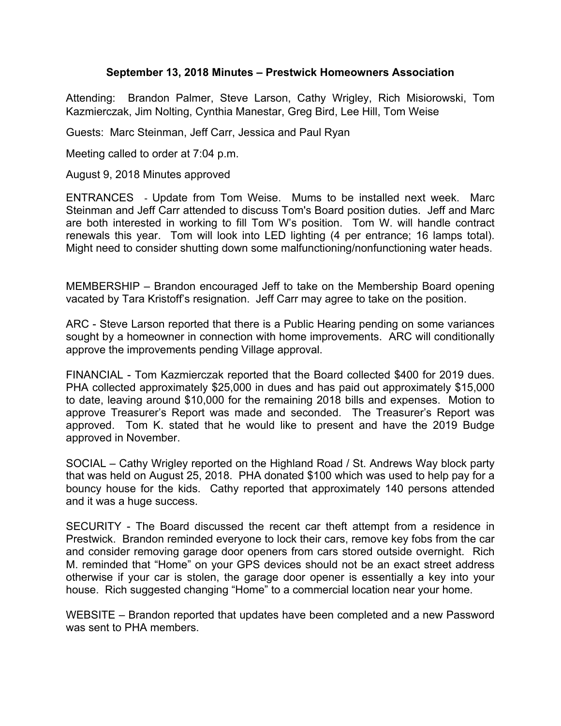## **September 13, 2018 Minutes – Prestwick Homeowners Association**

Attending: Brandon Palmer, Steve Larson, Cathy Wrigley, Rich Misiorowski, Tom Kazmierczak, Jim Nolting, Cynthia Manestar, Greg Bird, Lee Hill, Tom Weise

Guests: Marc Steinman, Jeff Carr, Jessica and Paul Ryan

Meeting called to order at 7:04 p.m.

August 9, 2018 Minutes approved

ENTRANCES - Update from Tom Weise. Mums to be installed next week. Marc Steinman and Jeff Carr attended to discuss Tom's Board position duties. Jeff and Marc are both interested in working to fill Tom W's position. Tom W. will handle contract renewals this year. Tom will look into LED lighting (4 per entrance; 16 lamps total). Might need to consider shutting down some malfunctioning/nonfunctioning water heads.

MEMBERSHIP – Brandon encouraged Jeff to take on the Membership Board opening vacated by Tara Kristoff's resignation. Jeff Carr may agree to take on the position.

ARC - Steve Larson reported that there is a Public Hearing pending on some variances sought by a homeowner in connection with home improvements. ARC will conditionally approve the improvements pending Village approval.

FINANCIAL - Tom Kazmierczak reported that the Board collected \$400 for 2019 dues. PHA collected approximately \$25,000 in dues and has paid out approximately \$15,000 to date, leaving around \$10,000 for the remaining 2018 bills and expenses. Motion to approve Treasurer's Report was made and seconded. The Treasurer's Report was approved. Tom K. stated that he would like to present and have the 2019 Budge approved in November.

SOCIAL – Cathy Wrigley reported on the Highland Road / St. Andrews Way block party that was held on August 25, 2018. PHA donated \$100 which was used to help pay for a bouncy house for the kids. Cathy reported that approximately 140 persons attended and it was a huge success.

SECURITY - The Board discussed the recent car theft attempt from a residence in Prestwick. Brandon reminded everyone to lock their cars, remove key fobs from the car and consider removing garage door openers from cars stored outside overnight. Rich M. reminded that "Home" on your GPS devices should not be an exact street address otherwise if your car is stolen, the garage door opener is essentially a key into your house. Rich suggested changing "Home" to a commercial location near your home.

WEBSITE – Brandon reported that updates have been completed and a new Password was sent to PHA members.